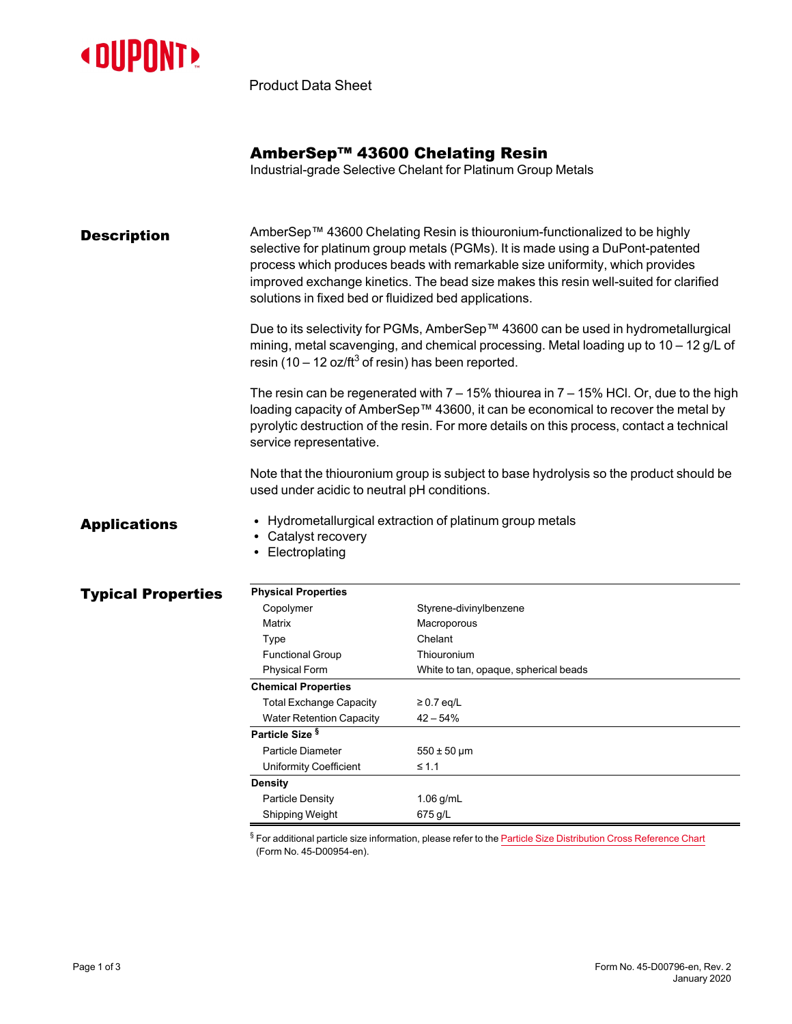

Product Data Sheet

### AmberSep™ 43600 Chelating Resin

Industrial-grade Selective Chelant for Platinum Group Metals

**Description** AmberSep™ 43600 Chelating Resin is thiouronium-functionalized to be highly selective for platinum group metals (PGMs). It is made using a DuPont-patented process which produces beads with remarkable size uniformity, which provides improved exchange kinetics. The bead size makes this resin well-suited for clarified solutions in fixed bed or fluidized bed applications.

> Due to its selectivity for PGMs, AmberSep™ 43600 can be used in hydrometallurgical mining, metal scavenging, and chemical processing. Metal loading up to 10 – 12 g/L of resin (10 – 12 oz/ft<sup>3</sup> of resin) has been reported.

> The resin can be regenerated with  $7 - 15%$  thiourea in  $7 - 15%$  HCl. Or, due to the high loading capacity of AmberSep™ 43600, it can be economical to recover the metal by pyrolytic destruction of the resin. For more details on this process, contact a technical service representative.

Note that the thiouronium group is subject to base hydrolysis so the product should be used under acidic to neutral pH conditions.

- Applications Hydrometallurgical extraction of platinum group metals
	- Catalyst recovery
	- Electroplating

#### **Typical Properties**

| <b>Physical Properties</b>      |                                       |
|---------------------------------|---------------------------------------|
| Copolymer                       | Styrene-divinylbenzene                |
| Matrix                          | Macroporous                           |
| Type                            | Chelant                               |
| <b>Functional Group</b>         | Thiouronium                           |
| <b>Physical Form</b>            | White to tan, opaque, spherical beads |
| <b>Chemical Properties</b>      |                                       |
| <b>Total Exchange Capacity</b>  | $\geq$ 0.7 eq/L                       |
| <b>Water Retention Capacity</b> | $42 - 54%$                            |
| Particle Size <sup>§</sup>      |                                       |
| Particle Diameter               | $550 \pm 50 \,\mu m$                  |
| Uniformity Coefficient          | $\leq 1.1$                            |
| Density                         |                                       |
| <b>Particle Density</b>         | $1.06$ g/mL                           |
| Shipping Weight                 | 675 g/L                               |

 $§$  For additional particle size information, please refer to the Particle Size [Distribution](https://www.dupont.com/content/dam/dupont/amer/us/en/water-solutions/public/documents/en/45-D00954-en.pdf) Cross Reference Chart (Form No. 45-D00954-en).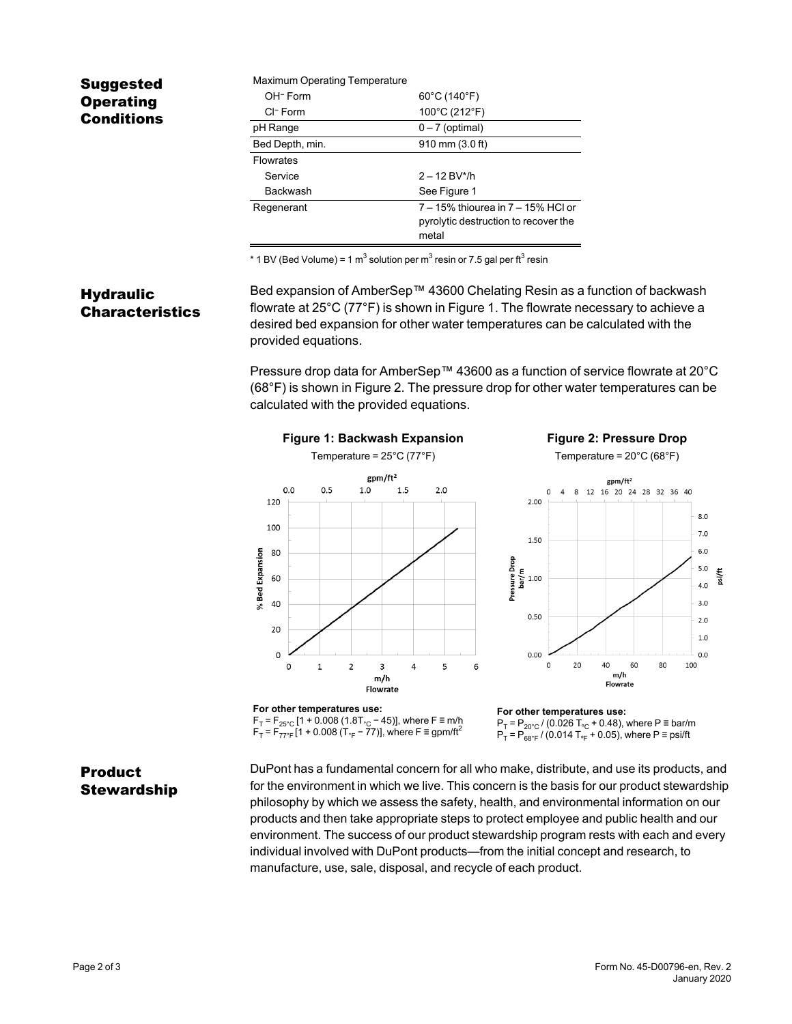# Suggested **Operating** Conditions

| <b>Maximum Operating Temperature</b> |                                                                                     |
|--------------------------------------|-------------------------------------------------------------------------------------|
| OH <sup>-</sup> Form                 | $60^{\circ}$ C (140 $^{\circ}$ F)                                                   |
| $Cl^-$ Form                          | 100°C (212°F)                                                                       |
| pH Range                             | $0 - 7$ (optimal)                                                                   |
| Bed Depth, min.                      | 910 mm (3.0 ft)                                                                     |
| <b>Flowrates</b>                     |                                                                                     |
| Service                              | $2 - 12$ BV*/h                                                                      |
| <b>Backwash</b>                      | See Figure 1                                                                        |
| Regenerant                           | 7 - 15% thiourea in 7 - 15% HCI or<br>pyrolytic destruction to recover the<br>metal |

\* 1 BV (Bed Volume) = 1 m $^3$  solution per m $^3$  resin or 7.5 gal per ft $^3$  resin

### **Hydraulic** Characteristics

Bed expansion of AmberSep™ 43600 Chelating Resin as a function of backwash flowrate at 25°C (77°F) is shown in [Figure 1.](#page-1-0) The flowrate necessary to achieve a desired bed expansion for other water temperatures can be calculated with the provided equations.

<span id="page-1-1"></span>Pressure drop data for AmberSep™ 43600 as a function of service flowrate at 20°C (68°F) is shown in [Figure 2](#page-1-1). The pressure drop for other water temperatures can be calculated with the provided equations.

<span id="page-1-0"></span>

# **Product** Stewardship

DuPont has a fundamental concern for all who make, distribute, and use its products, and for the environment in which we live. This concern is the basis for our product stewardship philosophy by which we assess the safety, health, and environmental information on our products and then take appropriate steps to protect employee and public health and our environment. The success of our product stewardship program rests with each and every individual involved with DuPont products—from the initial concept and research, to manufacture, use, sale, disposal, and recycle of each product.